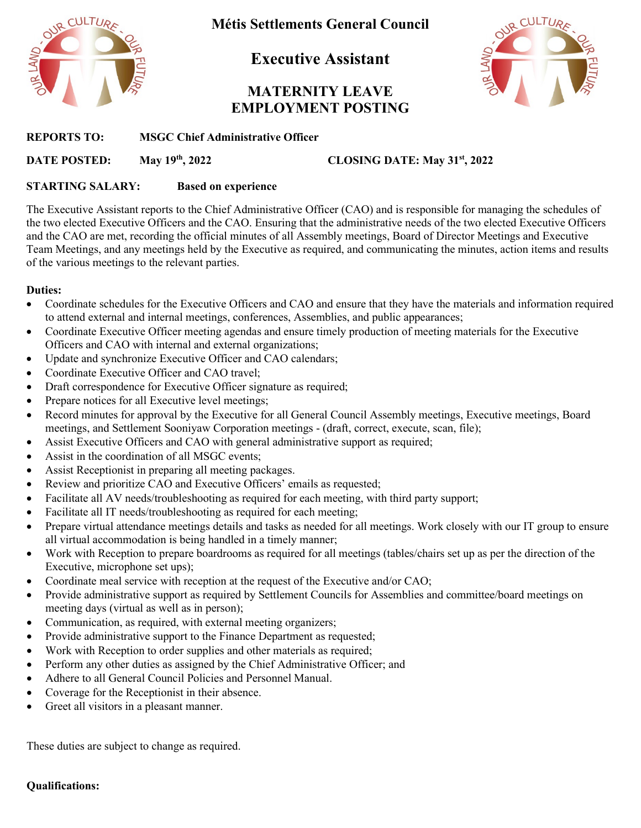

**Métis Settlements General Council**

**Executive Assistant** 

# **MATERNITY LEAVE EMPLOYMENT POSTING**



**REPORTS TO: MSGC Chief Administrative Officer**

**DATE POSTED: May 19th, 2022 CLOSING DATE: May 31st, 2022**

## **STARTING SALARY: Based on experience**

The Executive Assistant reports to the Chief Administrative Officer (CAO) and is responsible for managing the schedules of the two elected Executive Officers and the CAO. Ensuring that the administrative needs of the two elected Executive Officers and the CAO are met, recording the official minutes of all Assembly meetings, Board of Director Meetings and Executive Team Meetings, and any meetings held by the Executive as required, and communicating the minutes, action items and results of the various meetings to the relevant parties.

### **Duties:**

- Coordinate schedules for the Executive Officers and CAO and ensure that they have the materials and information required to attend external and internal meetings, conferences, Assemblies, and public appearances;
- Coordinate Executive Officer meeting agendas and ensure timely production of meeting materials for the Executive Officers and CAO with internal and external organizations;
- Update and synchronize Executive Officer and CAO calendars;
- Coordinate Executive Officer and CAO travel;
- Draft correspondence for Executive Officer signature as required;
- Prepare notices for all Executive level meetings;
- Record minutes for approval by the Executive for all General Council Assembly meetings, Executive meetings, Board meetings, and Settlement Sooniyaw Corporation meetings - (draft, correct, execute, scan, file);
- Assist Executive Officers and CAO with general administrative support as required;
- Assist in the coordination of all MSGC events:
- Assist Receptionist in preparing all meeting packages.
- Review and prioritize CAO and Executive Officers' emails as requested;
- Facilitate all AV needs/troubleshooting as required for each meeting, with third party support;
- Facilitate all IT needs/troubleshooting as required for each meeting;
- Prepare virtual attendance meetings details and tasks as needed for all meetings. Work closely with our IT group to ensure all virtual accommodation is being handled in a timely manner;
- Work with Reception to prepare boardrooms as required for all meetings (tables/chairs set up as per the direction of the Executive, microphone set ups);
- Coordinate meal service with reception at the request of the Executive and/or CAO;
- Provide administrative support as required by Settlement Councils for Assemblies and committee/board meetings on meeting days (virtual as well as in person);
- Communication, as required, with external meeting organizers;
- Provide administrative support to the Finance Department as requested;
- Work with Reception to order supplies and other materials as required;
- Perform any other duties as assigned by the Chief Administrative Officer; and
- Adhere to all General Council Policies and Personnel Manual.
- Coverage for the Receptionist in their absence.
- Greet all visitors in a pleasant manner.

These duties are subject to change as required.

#### **Qualifications:**